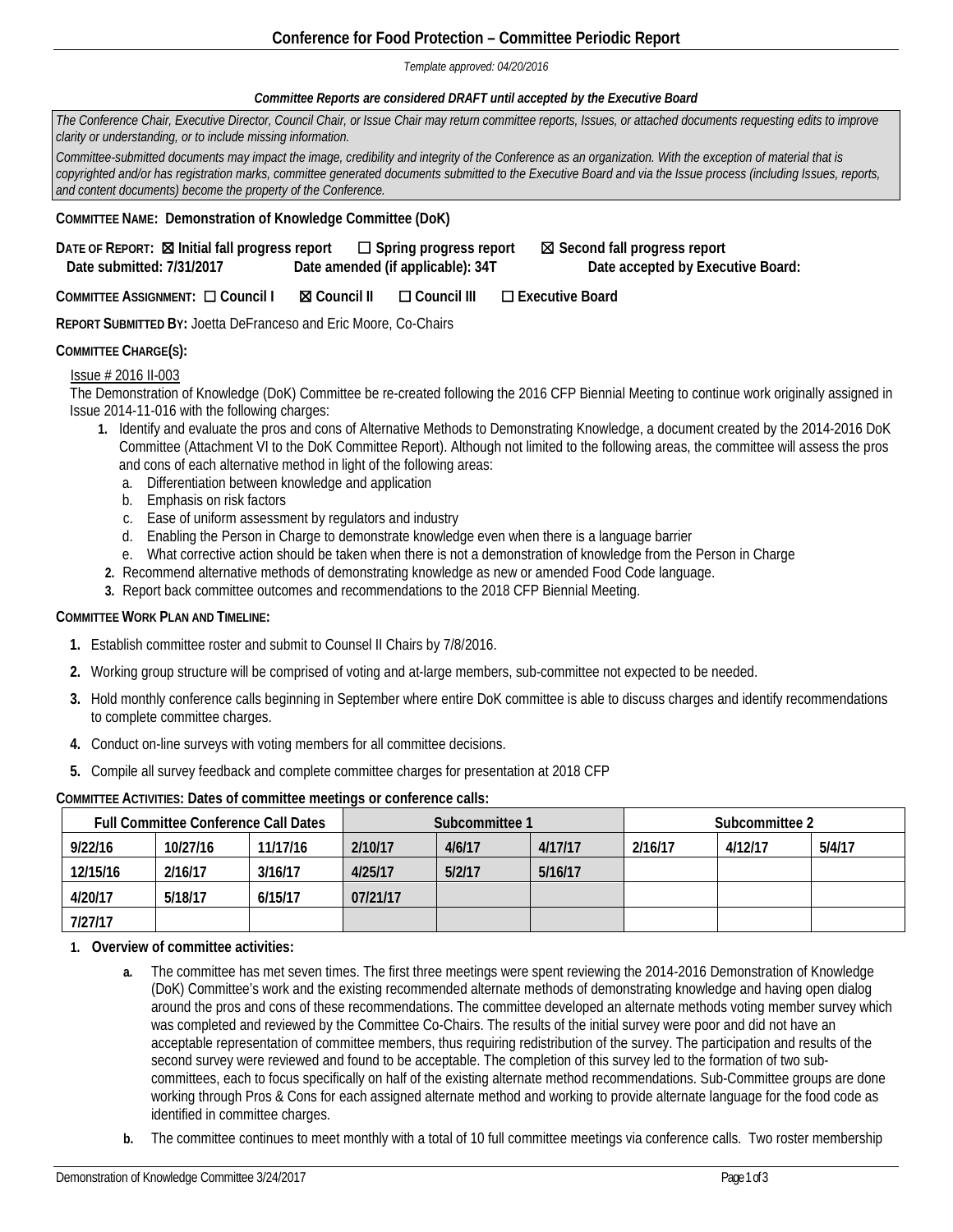## **Conference for Food Protection – Committee Periodic Report**

#### *Template approved: 04/20/2016*

### *Committee Reports are considered DRAFT until accepted by the Executive Board*

| The Conference Chair, Executive Director, Council Chair, or Issue Chair may return committee reports, Issues, or attached documents requesting edits to improve<br>clarity or understanding, or to include missing information.                                                                                                                                                                                                                                                                            |
|------------------------------------------------------------------------------------------------------------------------------------------------------------------------------------------------------------------------------------------------------------------------------------------------------------------------------------------------------------------------------------------------------------------------------------------------------------------------------------------------------------|
| Committee-submitted documents may impact the image, credibility and integrity of the Conference as an organization. With the exception of material that is<br>copyrighted and/or has registration marks, committee generated documents submitted to the Executive Board and via the Issue process (including Issues, reports,<br>and content documents) become the property of the Conference.                                                                                                             |
| <b>COMMITTEE NAME: Demonstration of Knowledge Committee (DoK)</b>                                                                                                                                                                                                                                                                                                                                                                                                                                          |
| DATE OF REPORT: <b>X</b> Initial fall progress report<br>⊠ Second fall progress report<br>$\Box$ Spring progress report<br>Date amended (if applicable): 34T<br>Date accepted by Executive Board:<br>Date submitted: 7/31/2017                                                                                                                                                                                                                                                                             |
| COMMITTEE ASSIGNMENT: Q Council I<br>$\Box$ Executive Board<br>⊠ Council II<br>$\Box$ Council III                                                                                                                                                                                                                                                                                                                                                                                                          |
| <b>REPORT SUBMITTED BY: Joetta DeFranceso and Eric Moore, Co-Chairs</b>                                                                                                                                                                                                                                                                                                                                                                                                                                    |
| <b>COMMITTEE CHARGE(S):</b>                                                                                                                                                                                                                                                                                                                                                                                                                                                                                |
| Issue # 2016 II-003<br>The Demonstration of Knowledge (DoK) Committee be re-created following the 2016 CFP Biennial Meeting to continue work originally assigned in<br>Issue 2014-11-016 with the following charges:<br>Identify and evaluate the pros and cons of Alternative Methods to Demonstrating Knowledge, a document created by the 2014-2016 DoK<br>1.<br>Committee (Attachment VI to the DoK Committee Report). Although not limited to the following areas, the committee will assess the pros |

- and cons of each alternative method in light of the following areas:
- a. Differentiation between knowledge and application
- b. Emphasis on risk factors
- c. Ease of uniform assessment by regulators and industry
- d. Enabling the Person in Charge to demonstrate knowledge even when there is a language barrier
- e. What corrective action should be taken when there is not a demonstration of knowledge from the Person in Charge
- **2.** Recommend alternative methods of demonstrating knowledge as new or amended Food Code language.
- **3.** Report back committee outcomes and recommendations to the 2018 CFP Biennial Meeting.

### **COMMITTEE WORK PLAN AND TIMELINE:**

- **1.** Establish committee roster and submit to Counsel II Chairs by 7/8/2016.
- **2.** Working group structure will be comprised of voting and at-large members, sub-committee not expected to be needed.
- **3.** Hold monthly conference calls beginning in September where entire DoK committee is able to discuss charges and identify recommendations to complete committee charges.
- **4.** Conduct on-line surveys with voting members for all committee decisions.
- **5.** Compile all survey feedback and complete committee charges for presentation at 2018 CFP

| <b>Full Committee Conference Call Dates</b> |          | Subcommittee 1 |          |        | Subcommittee 2 |         |         |        |
|---------------------------------------------|----------|----------------|----------|--------|----------------|---------|---------|--------|
| 9/22/16                                     | 10/27/16 | 11/17/16       | 2/10/17  | 4/6/17 | 4/17/17        | 2/16/17 | 4/12/17 | 5/4/17 |
| 12/15/16                                    | 2/16/17  | 3/16/17        | 4/25/17  | 5/2/17 | 5/16/17        |         |         |        |
| 4/20/17                                     | 5/18/17  | 6/15/17        | 07/21/17 |        |                |         |         |        |
| 7/27/17                                     |          |                |          |        |                |         |         |        |

### **COMMITTEE ACTIVITIES: Dates of committee meetings or conference calls:**

**1. Overview of committee activities:**

- **a.** The committee has met seven times. The first three meetings were spent reviewing the 2014-2016 Demonstration of Knowledge (DoK) Committee's work and the existing recommended alternate methods of demonstrating knowledge and having open dialog around the pros and cons of these recommendations. The committee developed an alternate methods voting member survey which was completed and reviewed by the Committee Co-Chairs. The results of the initial survey were poor and did not have an acceptable representation of committee members, thus requiring redistribution of the survey. The participation and results of the second survey were reviewed and found to be acceptable. The completion of this survey led to the formation of two subcommittees, each to focus specifically on half of the existing alternate method recommendations. Sub-Committee groups are done working through Pros & Cons for each assigned alternate method and working to provide alternate language for the food code as identified in committee charges.
- **b.** The committee continues to meet monthly with a total of 10 full committee meetings via conference calls. Two roster membership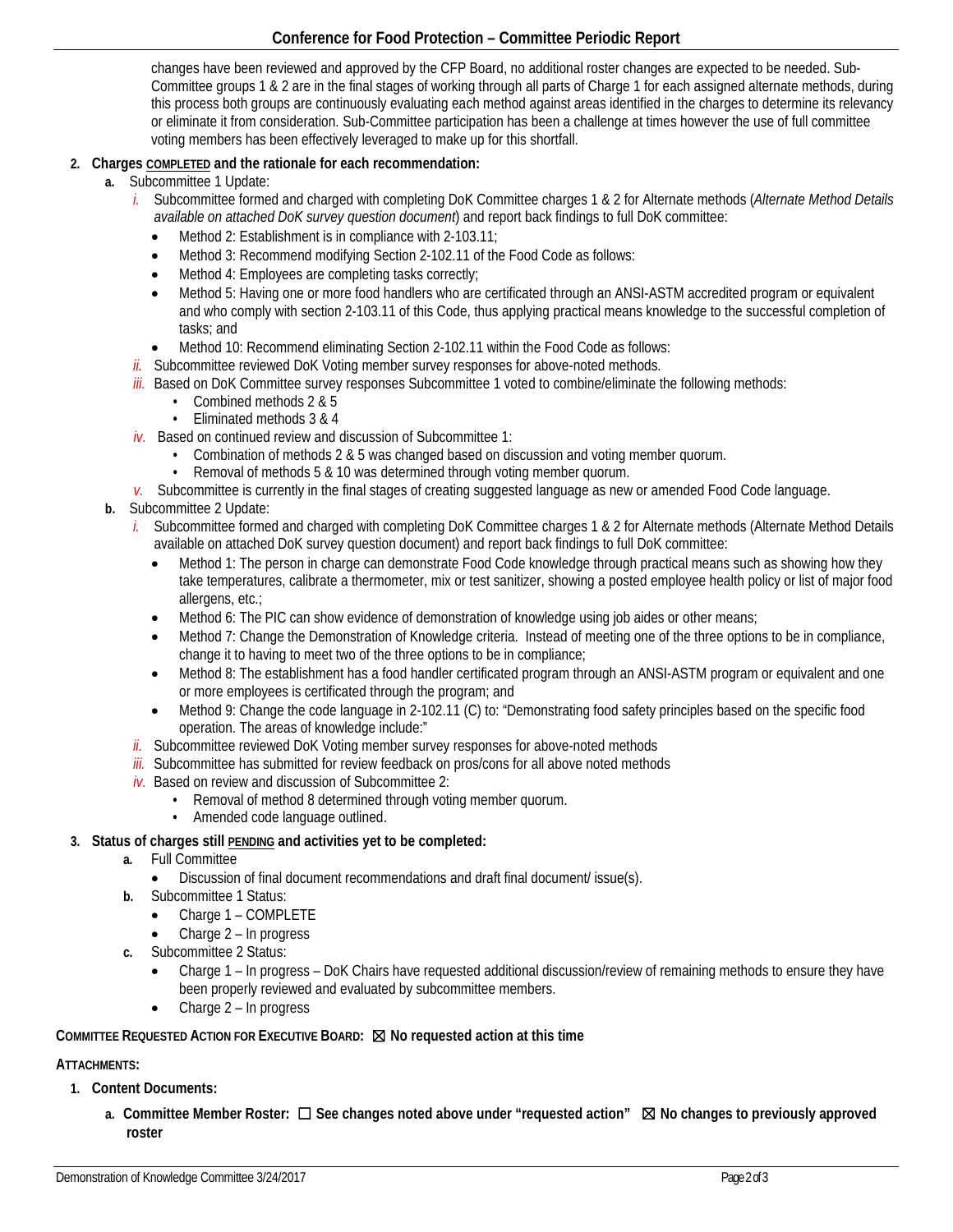# **Conference for Food Protection – Committee Periodic Report**

changes have been reviewed and approved by the CFP Board, no additional roster changes are expected to be needed. Sub-Committee groups 1 & 2 are in the final stages of working through all parts of Charge 1 for each assigned alternate methods, during this process both groups are continuously evaluating each method against areas identified in the charges to determine its relevancy or eliminate it from consideration. Sub-Committee participation has been a challenge at times however the use of full committee voting members has been effectively leveraged to make up for this shortfall.

# **2. Charges COMPLETED and the rationale for each recommendation:**

- **a.** Subcommittee 1 Update:
	- *i.* Subcommittee formed and charged with completing DoK Committee charges 1 & 2 for Alternate methods (*Alternate Method Details available on attached DoK survey question document*) and report back findings to full DoK committee:
		- Method 2: Establishment is in compliance with 2-103.11;
		- Method 3: Recommend modifying Section 2-102.11 of the Food Code as follows:
		- Method 4: Employees are completing tasks correctly;
		- Method 5: Having one or more food handlers who are certificated through an ANSI-ASTM accredited program or equivalent and who comply with section 2-103.11 of this Code, thus applying practical means knowledge to the successful completion of tasks; and
		- Method 10: Recommend eliminating Section 2-102.11 within the Food Code as follows:
	- *ii.* Subcommittee reviewed DoK Voting member survey responses for above-noted methods.
	- *iii.* Based on DoK Committee survey responses Subcommittee 1 voted to combine/eliminate the following methods:
		- Combined methods 2 & 5
		- Eliminated methods 3 & 4
	- *iv.* Based on continued review and discussion of Subcommittee 1:
		- Combination of methods 2 & 5 was changed based on discussion and voting member quorum.
		- Removal of methods 5 & 10 was determined through voting member quorum.
	- *v.* Subcommittee is currently in the final stages of creating suggested language as new or amended Food Code language.
- **b.** Subcommittee 2 Update:
	- *i.* Subcommittee formed and charged with completing DoK Committee charges 1 & 2 for Alternate methods (Alternate Method Details available on attached DoK survey question document) and report back findings to full DoK committee:
		- Method 1: The person in charge can demonstrate Food Code knowledge through practical means such as showing how they take temperatures, calibrate a thermometer, mix or test sanitizer, showing a posted employee health policy or list of major food allergens, etc.;
		- Method 6: The PIC can show evidence of demonstration of knowledge using job aides or other means;
		- Method 7: Change the Demonstration of Knowledge criteria. Instead of meeting one of the three options to be in compliance, change it to having to meet two of the three options to be in compliance;
		- Method 8: The establishment has a food handler certificated program through an ANSI-ASTM program or equivalent and one or more employees is certificated through the program; and
		- Method 9: Change the code language in 2-102.11 (C) to: "Demonstrating food safety principles based on the specific food operation. The areas of knowledge include:"
	- *ii.* Subcommittee reviewed DoK Voting member survey responses for above-noted methods
	- *iii.* Subcommittee has submitted for review feedback on pros/cons for all above noted methods
	- *iv.* Based on review and discussion of Subcommittee 2:
		- Removal of method 8 determined through voting member quorum.
		- Amended code language outlined.

## **3. Status of charges still PENDING and activities yet to be completed:**

- **a.** Full Committee
	- Discussion of final document recommendations and draft final document/ issue(s).
- **b.** Subcommittee 1 Status:
	- Charge 1 COMPLETE
	- Charge 2 In progress
- **c.** Subcommittee 2 Status:
	- Charge 1 In progress DoK Chairs have requested additional discussion/review of remaining methods to ensure they have been properly reviewed and evaluated by subcommittee members.
	- Charge 2 In progress

# **COMMITTEE REQUESTED ACTION FOR EXECUTIVE BOARD:** ☒ **No requested action at this time**

# **ATTACHMENTS:**

- **1. Content Documents:**
	- **a. Committee Member Roster:** ☐ **See changes noted above under "requested action"** ☒ **No changes to previously approved roster**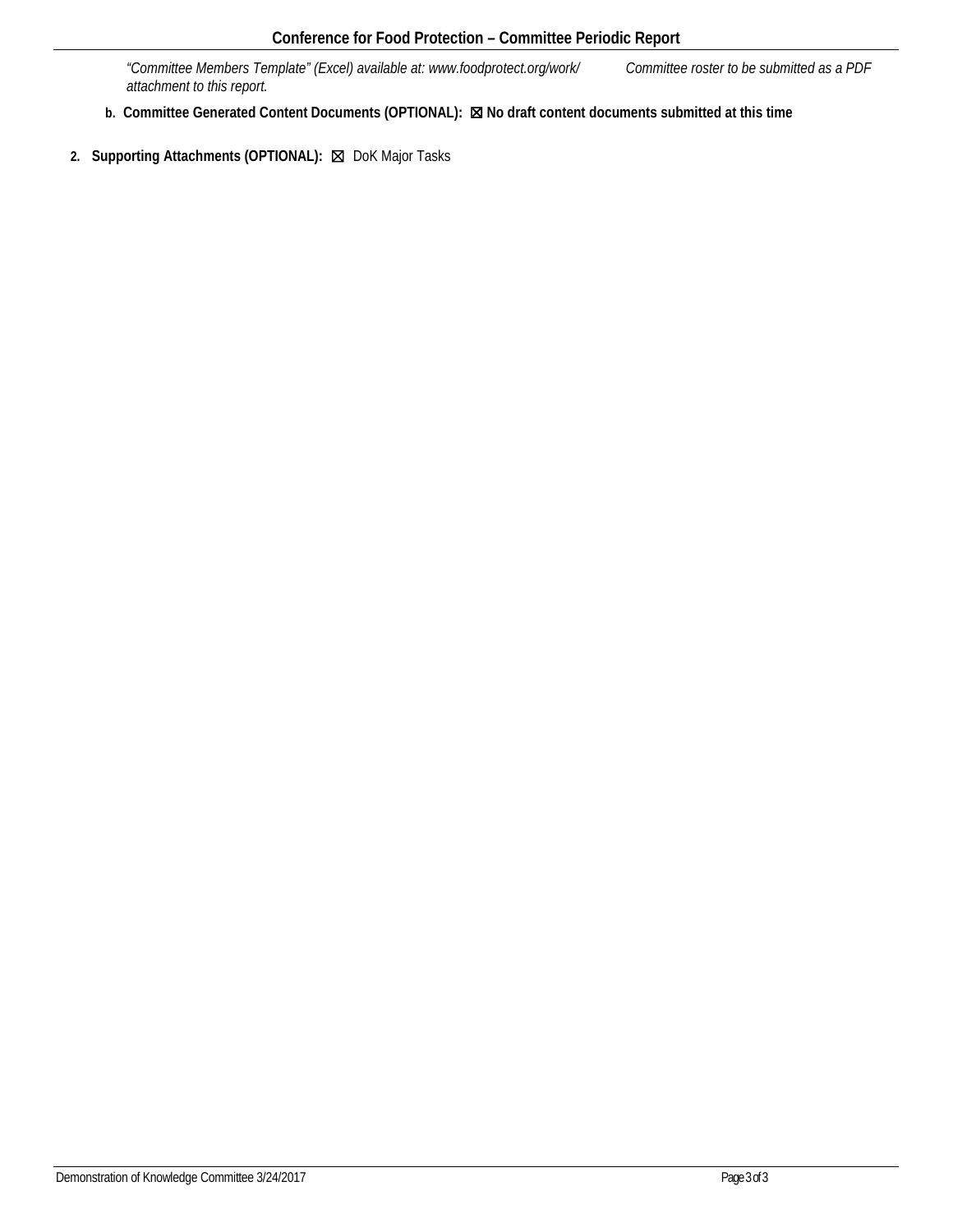*"Committee Members Template" (Excel) available at: www.foodprotect.org/work/ Committee roster to be submitted as a PDF attachment to this report.*

- **b. Committee Generated Content Documents (OPTIONAL):** ☒ **No draft content documents submitted at this time**
- **2. Supporting Attachments (OPTIONAL):** ☒ DoK Major Tasks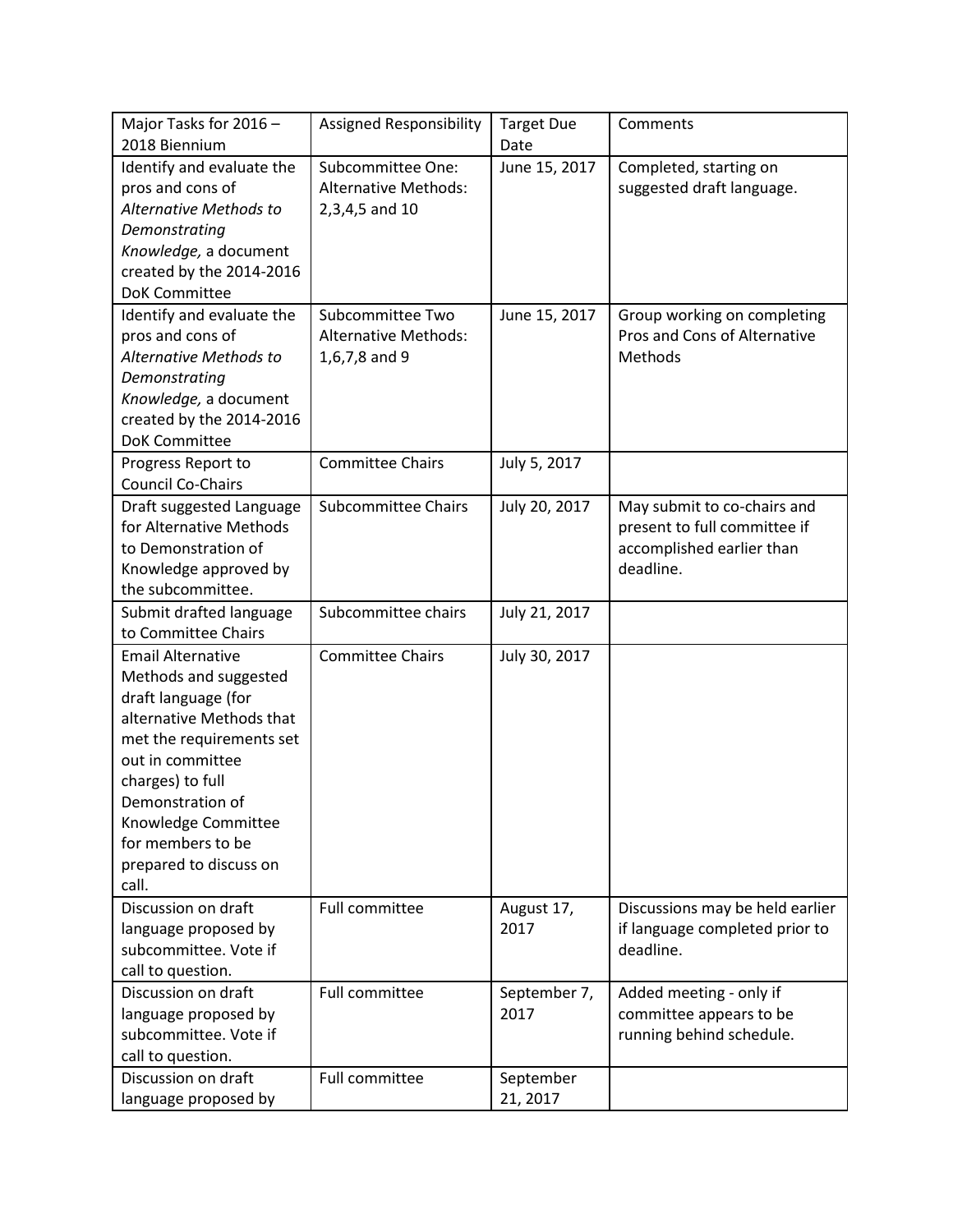| Major Tasks for 2016 -    | <b>Assigned Responsibility</b> | <b>Target Due</b> | Comments                        |
|---------------------------|--------------------------------|-------------------|---------------------------------|
| 2018 Biennium             |                                | Date              |                                 |
| Identify and evaluate the | Subcommittee One:              | June 15, 2017     | Completed, starting on          |
| pros and cons of          | <b>Alternative Methods:</b>    |                   | suggested draft language.       |
| Alternative Methods to    | 2,3,4,5 and 10                 |                   |                                 |
| Demonstrating             |                                |                   |                                 |
| Knowledge, a document     |                                |                   |                                 |
| created by the 2014-2016  |                                |                   |                                 |
| <b>DoK Committee</b>      |                                |                   |                                 |
| Identify and evaluate the | Subcommittee Two               | June 15, 2017     | Group working on completing     |
| pros and cons of          | <b>Alternative Methods:</b>    |                   | Pros and Cons of Alternative    |
| Alternative Methods to    | 1,6,7,8 and 9                  |                   | Methods                         |
| Demonstrating             |                                |                   |                                 |
| Knowledge, a document     |                                |                   |                                 |
| created by the 2014-2016  |                                |                   |                                 |
| <b>DoK Committee</b>      |                                |                   |                                 |
| Progress Report to        | <b>Committee Chairs</b>        | July 5, 2017      |                                 |
| <b>Council Co-Chairs</b>  |                                |                   |                                 |
| Draft suggested Language  | <b>Subcommittee Chairs</b>     | July 20, 2017     | May submit to co-chairs and     |
| for Alternative Methods   |                                |                   | present to full committee if    |
| to Demonstration of       |                                |                   | accomplished earlier than       |
| Knowledge approved by     |                                |                   | deadline.                       |
| the subcommittee.         |                                |                   |                                 |
| Submit drafted language   | Subcommittee chairs            | July 21, 2017     |                                 |
| to Committee Chairs       |                                |                   |                                 |
| <b>Email Alternative</b>  | <b>Committee Chairs</b>        | July 30, 2017     |                                 |
| Methods and suggested     |                                |                   |                                 |
| draft language (for       |                                |                   |                                 |
| alternative Methods that  |                                |                   |                                 |
| met the requirements set  |                                |                   |                                 |
| out in committee          |                                |                   |                                 |
| charges) to full          |                                |                   |                                 |
| Demonstration of          |                                |                   |                                 |
| Knowledge Committee       |                                |                   |                                 |
| for members to be         |                                |                   |                                 |
| prepared to discuss on    |                                |                   |                                 |
| call.                     |                                |                   |                                 |
| Discussion on draft       | Full committee                 | August 17,        | Discussions may be held earlier |
| language proposed by      |                                | 2017              | if language completed prior to  |
| subcommittee. Vote if     |                                |                   | deadline.                       |
| call to question.         |                                |                   |                                 |
| Discussion on draft       | <b>Full committee</b>          | September 7,      | Added meeting - only if         |
| language proposed by      |                                | 2017              | committee appears to be         |
| subcommittee. Vote if     |                                |                   | running behind schedule.        |
| call to question.         |                                |                   |                                 |
| Discussion on draft       | Full committee                 | September         |                                 |
| language proposed by      |                                | 21, 2017          |                                 |